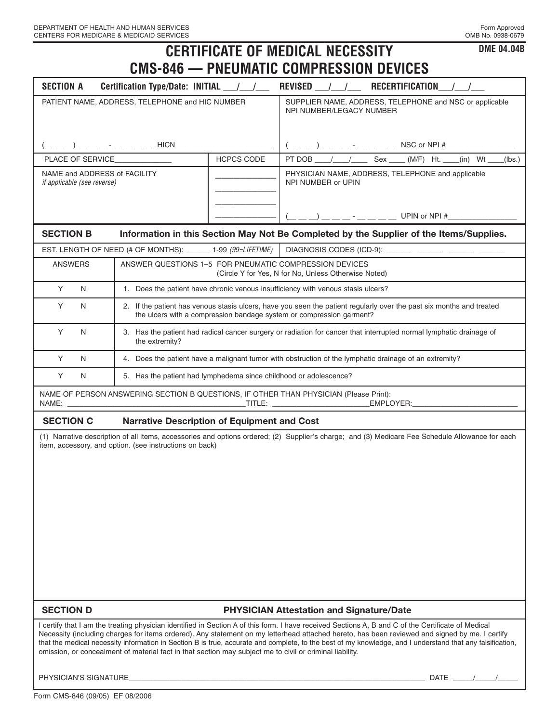**DME 04.04B**

## **CERTIFICATE OF MEDICAL NECESSITY CMS-846 — PNEUMATIC COMPRESSION DEVICES**

| י וותווורש<br><b>UUINI ILLUUIUN DEVIULU</b><br><b>SECTION A</b><br>Certification Type/Date: INITIAL / /<br>REVISED / /<br><b>RECERTIFICATION</b>                                                                                                                                                                                                                                                                                                                                                                                                                              |                                                                                                                                                                                              |  |                                                                                                                                  |  |
|-------------------------------------------------------------------------------------------------------------------------------------------------------------------------------------------------------------------------------------------------------------------------------------------------------------------------------------------------------------------------------------------------------------------------------------------------------------------------------------------------------------------------------------------------------------------------------|----------------------------------------------------------------------------------------------------------------------------------------------------------------------------------------------|--|----------------------------------------------------------------------------------------------------------------------------------|--|
| PATIENT NAME, ADDRESS, TELEPHONE and HIC NUMBER                                                                                                                                                                                                                                                                                                                                                                                                                                                                                                                               |                                                                                                                                                                                              |  | SUPPLIER NAME, ADDRESS, TELEPHONE and NSC or applicable<br>NPI NUMBER/LEGACY NUMBER                                              |  |
|                                                                                                                                                                                                                                                                                                                                                                                                                                                                                                                                                                               |                                                                                                                                                                                              |  | _ __ __) __ __ _ - __ __ __ __ NSC or NPI #____                                                                                  |  |
| <b>HCPCS CODE</b><br>PLACE OF SERVICE                                                                                                                                                                                                                                                                                                                                                                                                                                                                                                                                         |                                                                                                                                                                                              |  | PT DOB $/$ /<br>Sex _____ (M/F) Ht. ___<br>$(in)$ Wt<br>(lbs.)                                                                   |  |
| NAME and ADDRESS of FACILITY<br><i>if applicable (see reverse)</i>                                                                                                                                                                                                                                                                                                                                                                                                                                                                                                            |                                                                                                                                                                                              |  | PHYSICIAN NAME, ADDRESS, TELEPHONE and applicable<br>NPI NUMBER or UPIN<br>__ __) __ __ __ - __ __ __ __ UPIN or NPI #__________ |  |
| <b>SECTION B</b>                                                                                                                                                                                                                                                                                                                                                                                                                                                                                                                                                              |                                                                                                                                                                                              |  | Information in this Section May Not Be Completed by the Supplier of the Items/Supplies.                                          |  |
|                                                                                                                                                                                                                                                                                                                                                                                                                                                                                                                                                                               | EST. LENGTH OF NEED (# OF MONTHS): ______ 1-99 (99=LIFETIME)                                                                                                                                 |  | DIAGNOSIS CODES (ICD-9): ______ ______ ______ _____                                                                              |  |
| <b>ANSWERS</b>                                                                                                                                                                                                                                                                                                                                                                                                                                                                                                                                                                | ANSWER QUESTIONS 1-5 FOR PNEUMATIC COMPRESSION DEVICES<br>(Circle Y for Yes, N for No, Unless Otherwise Noted)                                                                               |  |                                                                                                                                  |  |
| Y<br>N                                                                                                                                                                                                                                                                                                                                                                                                                                                                                                                                                                        | 1. Does the patient have chronic venous insufficiency with venous stasis ulcers?                                                                                                             |  |                                                                                                                                  |  |
| Y<br>N                                                                                                                                                                                                                                                                                                                                                                                                                                                                                                                                                                        | 2. If the patient has venous stasis ulcers, have you seen the patient regularly over the past six months and treated<br>the ulcers with a compression bandage system or compression garment? |  |                                                                                                                                  |  |
| Y<br>N                                                                                                                                                                                                                                                                                                                                                                                                                                                                                                                                                                        | 3. Has the patient had radical cancer surgery or radiation for cancer that interrupted normal lymphatic drainage of<br>the extremity?                                                        |  |                                                                                                                                  |  |
| Y<br>N                                                                                                                                                                                                                                                                                                                                                                                                                                                                                                                                                                        | 4. Does the patient have a malignant tumor with obstruction of the lymphatic drainage of an extremity?                                                                                       |  |                                                                                                                                  |  |
| Y<br>$\mathsf{N}$                                                                                                                                                                                                                                                                                                                                                                                                                                                                                                                                                             | 5. Has the patient had lymphedema since childhood or adolescence?                                                                                                                            |  |                                                                                                                                  |  |
| NAME OF PERSON ANSWERING SECTION B QUESTIONS, IF OTHER THAN PHYSICIAN (Please Print):<br><b>TITLE:</b> TITLE:<br><b>EMPLOYER:</b><br>NAME: NAME:                                                                                                                                                                                                                                                                                                                                                                                                                              |                                                                                                                                                                                              |  |                                                                                                                                  |  |
| <b>SECTION C</b><br><b>Narrative Description of Equipment and Cost</b>                                                                                                                                                                                                                                                                                                                                                                                                                                                                                                        |                                                                                                                                                                                              |  |                                                                                                                                  |  |
| (1) Narrative description of all items, accessories and options ordered; (2) Supplier's charge; and (3) Medicare Fee Schedule Allowance for each<br>item, accessory, and option. (see instructions on back)                                                                                                                                                                                                                                                                                                                                                                   |                                                                                                                                                                                              |  |                                                                                                                                  |  |
| <b>SECTION D</b>                                                                                                                                                                                                                                                                                                                                                                                                                                                                                                                                                              |                                                                                                                                                                                              |  | <b>PHYSICIAN Attestation and Signature/Date</b>                                                                                  |  |
| I certify that I am the treating physician identified in Section A of this form. I have received Sections A, B and C of the Certificate of Medical<br>Necessity (including charges for items ordered). Any statement on my letterhead attached hereto, has been reviewed and signed by me. I certify<br>that the medical necessity information in Section B is true, accurate and complete, to the best of my knowledge, and I understand that any falsification,<br>omission, or concealment of material fact in that section may subject me to civil or criminal liability. |                                                                                                                                                                                              |  |                                                                                                                                  |  |

PHYSICIAN'S SIGNATURE\_\_\_\_\_\_\_\_\_\_\_\_\_\_\_\_\_\_\_\_\_\_\_\_\_\_\_\_\_\_\_\_\_\_\_\_\_\_\_\_\_\_\_\_\_\_\_\_\_\_\_\_\_\_\_\_\_\_\_\_\_\_\_\_\_\_\_\_\_\_\_\_\_ DATE \_\_\_\_\_/\_\_\_\_\_/\_\_\_\_\_